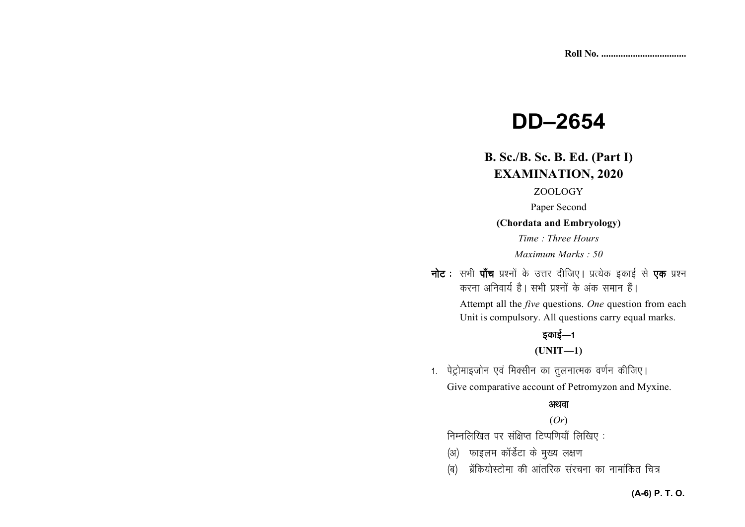# **DD–2654**

# **B. Sc./B. Sc. B. Ed. (Part I)EXAMINATION, 2020**

#### ZOOLOGY

Paper Second

**(Chordata and Embryology)** 

*Time : Three Hours Maximum Marks : 50* 

नोट : सभी पाँच प्रश्नों के उत्तर दीजिए। प्रत्येक इकाई से **एक** प्रश्न करना अनिवार्य है। सभी प्रश्नों के अंक समान हैं। Attempt all the *five* questions. *One* question from each Unit is compulsory. All questions carry equal marks.

## डकाई—1

**(UNIT—1)** 

1. पेट्रोमाइजोन एवं मिक्सीन का तुलनात्मक वर्णन कीजिए। Give comparative account of Petromyzon and Myxine.

#### अथवा

(*Or*)

निम्नलिखित पर संक्षिप्त टिप्पणियाँ लिखिए:

- (अ) फाइलम कॉर्डेटा के मुख्य लक्षण
- (ब) ब्रेकियोस्टोमा की आंतरिक संरचना का नामांकित चित्र